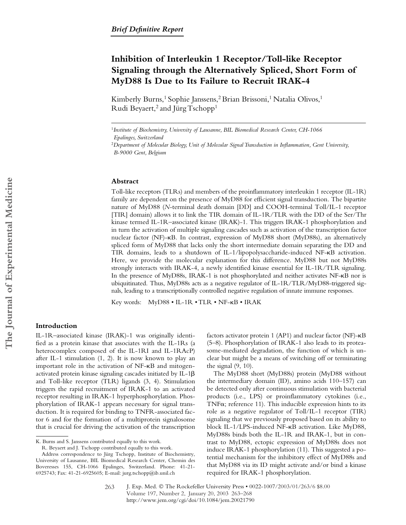# **Inhibition of Interleukin 1 Receptor/Toll-like Receptor Signaling through the Alternatively Spliced, Short Form of MyD88 Is Due to Its Failure to Recruit IRAK-4**

Kimberly Burns,<sup>1</sup> Sophie Janssens,<sup>2</sup> Brian Brissoni,<sup>1</sup> Natalia Olivos,<sup>1</sup> Rudi Beyaert,<sup>2</sup> and Jürg Tschopp<sup>1</sup>

### **Abstract**

Toll-like receptors (TLRs) and members of the proinflammatory interleukin 1 receptor (IL-1R) family are dependent on the presence of MyD88 for efficient signal transduction. The bipartite nature of MyD88 (*N*-terminal death domain [DD] and COOH-terminal Toll/IL-1 receptor [TIR] domain) allows it to link the TIR domain of IL-1R/TLR with the DD of the Ser/Thr kinase termed IL-1R–associated kinase (IRAK)-1. This triggers IRAK-1 phosphorylation and in turn the activation of multiple signaling cascades such as activation of the transcription factor nuclear factor (NF)-KB. In contrast, expression of MyD88 short (MyD88s), an alternatively spliced form of MyD88 that lacks only the short intermediate domain separating the DD and TIR domains, leads to a shutdown of IL-1/lipopolysaccharide-induced NF-KB activation. Here, we provide the molecular explanation for this difference. MyD88 but not MyD88s strongly interacts with IRAK-4, a newly identified kinase essential for IL-1R/TLR signaling. In the presence of MyD88s, IRAK-1 is not phosphorylated and neither activates NF-KB nor is ubiquitinated. Thus, MyD88s acts as a negative regulator of IL-1R/TLR/MyD88-triggered signals, leading to a transcriptionally controlled negative regulation of innate immune responses.

Key words: MyD88 • IL-1R • TLR • NF-KB • IRAK

## **Introduction**

IL-1R–associated kinase (IRAK)-1 was originally identified as a protein kinase that associates with the IL-1Rs (a heterocomplex composed of the IL-1RI and IL-1RAcP) after IL-1 stimulation (1, 2). It is now known to play an important role in the activation of NF-KB and mitogenactivated protein kinase signaling cascades initiated by  $IL-1\beta$ and Toll-like receptor (TLR) ligands (3, 4). Stimulation triggers the rapid recruitment of IRAK-1 to an activated receptor resulting in IRAK-1 hyperphosphorylation. Phosphorylation of IRAK-1 appears necessary for signal transduction. It is required for binding to TNFR-associated factor 6 and for the formation of a multiprotein signalosome that is crucial for driving the activation of the transcription

R. Beyaert and J. Tschopp contributed equally to this work.

factors activator protein 1 (AP1) and nuclear factor (NF)-KB (5–8). Phosphorylation of IRAK-1 also leads to its proteasome-mediated degradation, the function of which is unclear but might be a means of switching off or terminating the signal (9, 10).

The MyD88 short (MyD88s) protein (MyD88 without the intermediary domain (ID), amino acids 110–157) can be detected only after continuous stimulation with bacterial products (i.e., LPS) or proinflammatory cytokines (i.e., TNF $\alpha$ ; reference 11). This inducible expression hints to its role as a negative regulator of Toll/IL-1 receptor (TIR) signaling that we previously proposed based on its ability to block IL-1/LPS-induced NF-KB activation. Like MyD88, MyD88s binds both the IL-1R and IRAK-1, but in contrast to MyD88, ectopic expression of MyD88s does not induce IRAK-1 phosphorylation (11). This suggested a potential mechanism for the inhibitory effect of MyD88s and that MyD88 via its ID might activate and/or bind a kinase required for IRAK-1 phosphorylation.

J. Exp. Med. © The Rockefeller University Press • 0022-1007/2003/01/263/6 \$8.00 Volume 197, Number 2, January 20, 2003 263–268 http://www.jem.org/cgi/doi/10.1084/jem.20021790 263

<sup>1</sup>*Institute of Biochemistry, University of Lausanne, BIL Biomedical Research Center, CH-1066 Epalinges, Switzerland*

<sup>2</sup>*Department of Molecular Biology, Unit of Molecular Signal Transduction in Inflammation, Gent University, B-9000 Gent, Belgium*

K. Burns and S. Janssens contributed equally to this work.

Address correspondence to Jürg Tschopp, Institute of Biochemistry, University of Lausanne, BIL Biomedical Research Center, Chemin des Boveresses 155, CH-1066 Epalinges, Switzerland. Phone: 41-21- 6925743; Fax: 41-21-6925605; E-mail: jurg.tschopp@ib.unil.ch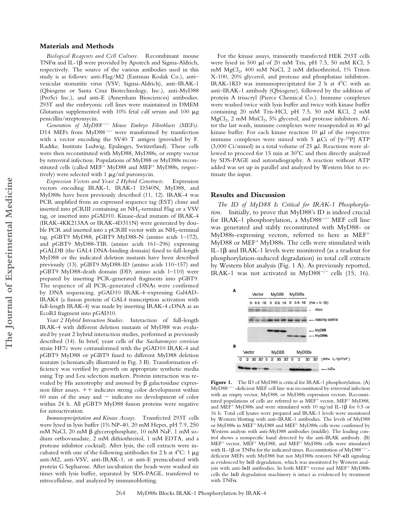### **Materials and Methods**

*Biological Reagents and Cell Culture.* Recombinant mouse TNF $\alpha$  and IL-1 $\beta$  were provided by Apotech and Sigma-Aldrich, respectively. The source of the various antibodies used in this study is as follows: anti-Flag/M2 (Eastman Kodak Co.), anti– vesicular stomatitis virus (VSV; Sigma-Aldrich), anti–IRAK-1 (Qbiogene or Santa Cruz Biotechnology, Inc.), anti-MyD88 (ProSci Inc.), and anti-E (Amersham Biosciences) antibodies. 293T and the embryonic cell lines were maintained in DMEM Glutamax supplemented with 10% fetal calf serum and 100  $\mu$ g penicillin/streptomycin.

Generation of  $MyD88^{-/-}$  Mouse Embryo Fibroblasts (MEFs). D14 MEFs from  $MyD88^{-/-}$  were transformed by transfection with a vector encoding the SV40 T antigen (provided by F. Radtke, Institute Ludwig, Epalinges, Switzerland). These cells were then reconstituted with MyD88, MyD88s, or empty vector by retroviral infection. Populations of MyD88 or MyD88s reconstituted cells (called MEF<sup>+</sup> MyD88 and MEF<sup>+</sup> MyD88s, respectively) were selected with 1  $\mu$ g/ml puromycin.

*Expression Vectors and Yeast 2 Hybrid Constructs.* Expression vectors encoding IRAK-1, IRAK-1 D340N, MyD88, and MyD88s have been previously described (11, 12). IRAK-4 was PCR amplified from an expressed sequence tag (EST) clone and inserted into pCRIII containing an  $NH_2$ -terminal Flag or a VSV tag, or inserted into pGAD10. Kinase-dead mutants of IRAK-4 (IRAK-4KK213AA or IRAK-4D311N) were generated by double PCR and inserted into a pCRIII vector with an  $NH_2$ -terminal tag. pGBT9 MyD88, pGBT9 MyD88-N (amino acids 1–172), and pGBT9 MyD88-TIR (amino acids 161–296) expressing pGALDB (the GAL4 DNA-binding domain) fused to full-length MyD88 or the indicated deletion mutants have been described previously (13). pGBT9 MyD88-ID (amino acids 110–157) and pGBT9 MyD88-death domain (DD; amino acids 1–110) were prepared by inserting PCR-generated fragments into pGBT9. The sequence of all PCR-generated cDNAs were confirmed by DNA sequencing. pGAD10 IRAK-4–expressing Gal4AD-IRAK4 (a fusion protein of GAL4 transcription activation with full-length IRAK-4) was made by inserting IRAK-4 cDNA as an EcoRI fragment into pGAD10.

*Yeast 2 Hybrid Interaction Studies.* Interaction of full-length IRAK-4 with different deletion mutants of MyD88 was evaluated by yeast 2 hybrid interaction studies, performed as previously described (14). In brief, yeast cells of the *Saccharomyces cerevisiae* strain HF7c were cotransformed with the pGAD10 IRAK-4 and pGBT9 MyD88 or pGBT9 fused to different MyD88 deletion mutants (schematically illustrated in Fig. 3 B). Transformation efficiency was verified by growth on appropriate synthetic media using Trp and Leu selection markers. Protein interaction was revealed by His auxotrophy and assessed by  $\beta$  galactosidase expression filter assays.  $++$  indicates strong color development within 60 min of the assay and  $-$  indicates no development of color within 24 h. All pGBT9 MyD88 fusion proteins were negative for autoactivation.

*Immunoprecipitation and Kinase Assays.* Transfected 293T cells were lysed in lysis buffer (1% NP-40, 20 mM Hepes, pH 7.9, 250 mM NaCl,  $20 \text{ mM } \beta$  glycerophosphate,  $10 \text{ mM } N_A$ F,  $1 \text{ mM }$ sodium orthovanadate, 2 mM dithiothreitol, 1 mM EDTA, and a protease inhibitor cocktail). After lysis, the cell extracts were incubated with one of the following antibodies for 2 h at  $4^{\circ}$ C: 1  $\mu$ g anti-M2, anti-VSV, anti-IRAK-1, or anti-E preincubated with protein G Sepharose. After incubation the beads were washed six times with lysis buffer, separated by SDS-PAGE, transferred to nitrocellulose, and analyzed by immunoblotting.

For the kinase assays, transiently transfected HEK 293T cells were lysed in 500  $\mu$ l of 20 mM Tris, pH 7.5, 50 mM KCl, 5 mM MgCl<sub>2</sub>, 400 mM NaCl, 2 mM dithiothreitol, 1% Triton X-100, 20% glycerol, and protease and phosphatase inhibitors. IRAK-1KD was immunoprecipitated for 2 h at  $4^\circ$ C with an anti–IRAK-1 antibody (Qbiogene), followed by the addition of protein A trisacryl (Pierce Chemical Co.). Immune complexes were washed twice with lysis buffer and twice with kinase buffer containing 20 mM Tris-HCl, pH 7.5, 50 mM KCl, 2 mM  $MgCl<sub>2</sub>$ , 2 mM  $MnCl<sub>2</sub>$ , 5% glycerol, and protease inhibitors. After the last wash, immune complexes were resuspended in  $40 \mu l$ kinase buffer. For each kinase reaction  $10 \mu l$  of the respective immune complexes were mixed with 5  $\mu$ Ci of [ $\gamma$ -<sup>32</sup>P] ATP (3,000 Ci/mmol) in a total volume of  $25 \mu$ l. Reactions were allowed to proceed for 15 min at 30°C and then directly analyzed by SDS-PAGE and autoradiography. A reaction without ATP added was set up in parallel and analyzed by Western blot to estimate the input.

#### **Results and Discussion**

*The ID of MyD88 Is Critical for IRAK-1 Phosphorylation.* Initially, to prove that MyD88's ID is indeed crucial for IRAK-1 phosphorylation, a MyD88<sup>-/-</sup> MEF cell line was generated and stably reconstituted with MyD88- or MyD88s-expressing vectors, referred to here as MEF MyD88 or MEF<sup>+</sup> MyD88s. The cells were stimulated with IL-1 $\beta$  and IRAK-1 levels were monitored (as a readout for phosphorylation-induced degradation) in total cell extracts by Western blot analysis (Fig. 1 A). As previously reported, IRAK-1 was not activated in MyD88<sup>-/-</sup> cells (15, 16).



**Figure 1.** The ID of MyD88 is critical for IRAK-1 phosphorylation. (A)  $MvD88^{-/-}$ -deficient MEF cell line was reconstituted by retroviral infection with an empty vector, MyD88, or MyD88s expression vectors. Reconstituted populations of cells are referred to as MEF<sup>+</sup> vector, MEF<sup>+</sup> MyD88, and MEF<sup>+</sup> MyD88s and were stimulated with 10 ng/ml IL-1 $\beta$  for 0.5 or 16 h. Total cell lysates were prepared and IRAK-1 levels were monitored by Western blotting with anti–IRAK-1 antibodies. The levels of MyD88 or MyD88s in MEF<sup>+</sup> MyD88 and MEF<sup>+</sup> MyD88s cells were confirmed by Western analysis with anti-MyD88 antibodies (middle). The loading control shows a nonspecific band detected by the anti-IRAK antibody. (B) MEF<sup>+</sup> vector, MEF<sup>+</sup> MyD88, and MEF<sup>+</sup> MyD88s cells were stimulated with IL-1 $\beta$  or TNF $\alpha$  for the indicated times. Reconstitution of MyD88<sup>-/-</sup>deficient MEFs with MyD88 but not MyD88s restores NF-KB signaling as evidenced by IKB degradation, which was monitored by Western analysis with anti-IKB antibodies. In both MEF<sup>+</sup> vector and MEF<sup>+</sup> MyD88s cells the IKB degradation machinery is intact as evidenced by treatment with  $TNF\alpha$ .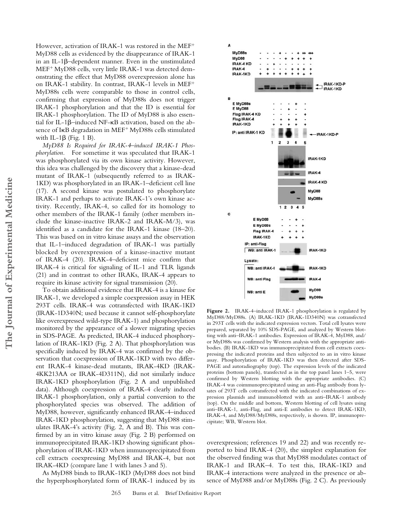However, activation of IRAK-1 was restored in the MEF MyD88 cells as evidenced by the disappearance of IRAK-1 in an IL-1 $\beta$ –dependent manner. Even in the unstimulated MEF<sup>+</sup> MyD88 cells, very little IRAK-1 was detected demonstrating the effect that MyD88 overexpression alone has on IRAK-1 stability. In contrast, IRAK-1 levels in MEF MyD88s cells were comparable to those in control cells, confirming that expression of MyD88s does not trigger IRAK-1 phosphorylation and that the ID is essential for IRAK-1 phosphorylation. The ID of MyD88 is also essential for IL-1ß–induced NF-KB activation, based on the absence of I $\kappa$ B degradation in MEF<sup>+</sup> MyD88s cells stimulated with IL-1 $\beta$  (Fig. 1 B).

*MyD88 Is Required for IRAK-4–induced IRAK-1 Phosphorylation.* For sometime it was speculated that IRAK-1 was phosphorylated via its own kinase activity. However, this idea was challenged by the discovery that a kinase-dead mutant of IRAK-1 (subsequently referred to as IRAK-1KD) was phosphorylated in an IRAK-1–deficient cell line (17). A second kinase was postulated to phosphorylate IRAK-1 and perhaps to activate IRAK-1's own kinase activity. Recently, IRAK-4, so called for its homology to other members of the IRAK-1 family (other members include the kinase-inactive IRAK-2 and IRAK-M/3), was identified as a candidate for the IRAK-1 kinase (18–20). This was based on in vitro kinase assays and the observation that IL-1–induced degradation of IRAK-1 was partially blocked by overexpression of a kinase-inactive mutant of IRAK-4 (20). IRAK-4–deficient mice confirm that IRAK-4 is critical for signaling of IL-1 and TLR ligands (21) and in contrast to other IRAKs, IRAK-4 appears to require its kinase activity for signal transmission (20).

To obtain additional evidence that IRAK-4 is a kinase for IRAK-1, we developed a simple coexpression assay in HEK 293T cells. IRAK-4 was cotransfected with IRAK-1KD (IRAK-1D340N; used because it cannot self-phosphorylate like overexpressed wild-type IRAK-1) and phosphorylation monitored by the appearance of a slower migrating species in SDS-PAGE. As predicted, IRAK-4 induced phosphorylation of IRAK-1KD (Fig. 2 A). That phosphorylation was specifically induced by IRAK-4 was confirmed by the observation that coexpression of IRAK-1KD with two different IRAK-4 kinase-dead mutants, IRAK-4KD (IRAK-4KK213AA or IRAK-4D311N), did not similarly induce IRAK-1KD phosphorylation (Fig. 2 A and unpublished data). Although coexpression of IRAK-4 clearly induced IRAK-1 phosphorylation, only a partial conversion to the phosphorylated species was observed. The addition of MyD88, however, significantly enhanced IRAK-4–induced IRAK-1KD phosphorylation, suggesting that MyD88 stimulates IRAK-4's activity (Fig. 2, A and B). This was confirmed by an in vitro kinase assay (Fig. 2 B) performed on immunoprecipitated IRAK-1KD showing significant phosphorylation of IRAK-1KD when immunoprecipitated from cell extracts coexpressing MyD88 and IRAK-4, but not IRAK-4KD (compare lane 1 with lanes 3 and 5).

As MyD88 binds to IRAK-1KD (MyD88 does not bind the hyperphosphorylated form of IRAK-1 induced by its



**Figure 2.** IRAK-4–induced IRAK-1 phosphorylation is regulated by MyD88/MyD88s. (A) IRAK-1KD (IRAK-1D340N) was cotransfected in 293T cells with the indicated expression vectors. Total cell lysates were prepared, separated by 10% SDS-PAGE, and analyzed by Western blotting with anti–IRAK-1 antibodies. Expression of IRAK-4, MyD88, and/ or MyD88s was confirmed by Western analysis with the appropriate antibodies. (B) IRAK-1KD was immunoprecipitated from cell extracts coexpressing the indicated proteins and then subjected to an in vitro kinase assay. Phosphorylation of IRAK-1KD was then detected after SDS-PAGE and autoradiography (top). The expression levels of the indicated proteins (bottom panels), transfected as in the top panel lanes 1–5, were confirmed by Western blotting with the appropriate antibodies. (C) IRAK-4 was coimmunoprecipitated using an anti-Flag antibody from lysates of 293T cells cotransfected with the indicated combinations of expression plasmids and immunoblotted with an anti–IRAK-1 antibody (top). On the middle and bottom, Western blotting of cell lysates using anti–IRAK-1, anti-Flag, and anti-E antibodies to detect IRAK-1KD, IRAK-4, and MyD88/MyD88s, respectively, is shown. IP, immunoprecipitate; WB, Western blot.

overexpression; references 19 and 22) and was recently reported to bind IRAK-4 (20), the simplest explanation for the observed finding was that MyD88 modulates contact of IRAK-1 and IRAK–4. To test this, IRAK-1KD and IRAK-4 interactions were analyzed in the presence or absence of MyD88 and/or MyD88s (Fig. 2 C). As previously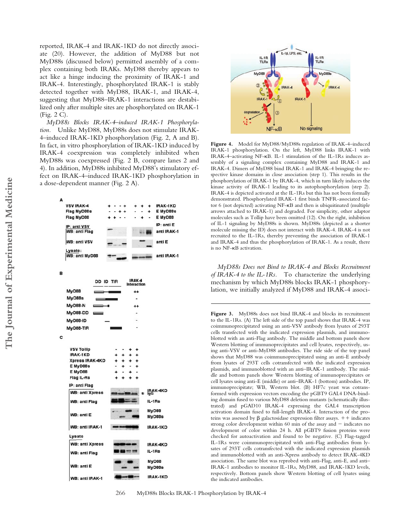reported, IRAK-4 and IRAK-1KD do not directly associate (20). However, the addition of MyD88 but not MyD88s (discussed below) permitted assembly of a complex containing both IRAKs. MyD88 thereby appears to act like a hinge inducing the proximity of IRAK-1 and IRAK-4. Interestingly, phosphorylated IRAK-1 is stably detected together with MyD88, IRAK-1, and IRAK-4, suggesting that MyD88–IRAK-1 interactions are destabilized only after multiple sites are phosphorylated on IRAK-1 (Fig. 2 C).

*MyD88s Blocks IRAK-4–induced IRAK-1 Phosphorylation.* Unlike MyD88, MyD88s does not stimulate IRAK-4–induced IRAK-1KD phosphorylation (Fig. 2, A and B). In fact, in vitro phosphorylation of IRAK-1KD induced by IRAK-4 coexpression was completely inhibited when MyD88s was coexpressed (Fig. 2 B, compare lanes 2 and 4). In addition, MyD88s inhibited MyD88's stimulatory effect on IRAK-4–induced IRAK-1KD phosphorylation in a dose-dependent manner (Fig. 2 A).





**Figure 4.** Model for MyD88/MyD88s regulation of IRAK-4–induced IRAK-1 phosphorylation. On the left, MyD88 links IRAK-1 with IRAK-4-activating NF-KB. IL-1 stimulation of the IL-1Rs induces assembly of a signaling complex containing MyD88 and IRAK-1 and IRAK-4. Dimers of MyD88 bind IRAK-1 and IRAK-4 bringing the respective kinase domains in close association (step 1). This results in the phosphorylation of IRAK-1 by IRAK-4, which in turn likely induces the kinase activity of IRAK-1 leading to its autophosphorylation (step 2). IRAK-4 is depicted activated at the IL-1Rs but this has not been formally demonstrated. Phosphorylated IRAK-1 first binds TNFR-associated factor 6 (not depicted) activating NF--B and then is ubiquitinated (multiple arrows attached to IRAK-1) and degraded. For simplicity, other adaptor molecules such as Tollip have been omitted (12). On the right, inhibition of IL-1 signaling by MyD88s is shown. MyD88s (depicted as a shorter molecule missing the ID) does not interact with IRAK-4. IRAK-4 is not recruited to the IL-1Rs, thereby preventing the association of IRAK-1 and IRAK-4 and thus the phosphorylation of IRAK-1. As a result, there is no NF--B activation.

*MyD88s Does not Bind to IRAK-4 and Blocks Recruitment of IRAK-4 to the IL-1Rs.* To characterize the underlying mechanism by which MyD88s blocks IRAK-1 phosphorylation, we initially analyzed if MyD88 and IRAK-4 associ-

**Figure 3.** MyD88s does not bind IRAK-4 and blocks its recruitment to the IL-1Rs. (A) The left side of the top panel shows that IRAK-4 was coimmunoprecipitated using an anti-VSV antibody from lysates of 293T cells transfected with the indicated expression plasmids, and immunoblotted with an anti-Flag antibody. The middle and bottom panels show Western blotting of immunoprecipitates and cell lysates, respectively, using anti-VSV or anti-MyD88 antibodies. The ride side of the top panel shows that MyD88 was coimmunoprecipitated using an anti-E antibody from lysates of 293T cells cotransfected with the indicated expression plasmids, and immunoblotted with an anti–IRAK-1 antibody. The middle and bottom panels show Western blotting of immunoprecipitates or cell lysates using anti-E (middle) or anti–IRAK-1 (bottom) antibodies. IP, immunoprecipitate; WB, Western blot. (B) HF7c yeast was cotransformed with expression vectors encoding the pGBT9 GAL4 DNA-binding domain fused to various MyD88 deletion mutants (schematically illustrated) and pGAD10 IRAK-4 expressing the GAL4 transcription activation domain fused to full-length IRAK-4. Interaction of the proteins was assessed by  $\beta$  galactosidase expression filter assays.  $++$  indicates strong color development within 60 min of the assay and  $-$  indicates no development of color within 24 h. All pGBT9 fusion proteins were checked for autoactivation and found to be negative. (C) Flag-tagged IL-1Rs were coimmunoprecipitated with anti-Flag antibodies from lysates of 293T cells cotransfected with the indicated expression plasmids and immunoblotted with an anti-Xpress antibody to detect IRAK-4KD association. The same blot was reprobed with anti-Flag, anti-E, and anti– IRAK-1 antibodies to monitor IL-1Rs, MyD88, and IRAK-1KD levels, respectively. Bottom panels show Western blotting of cell lysates using the indicated antibodies.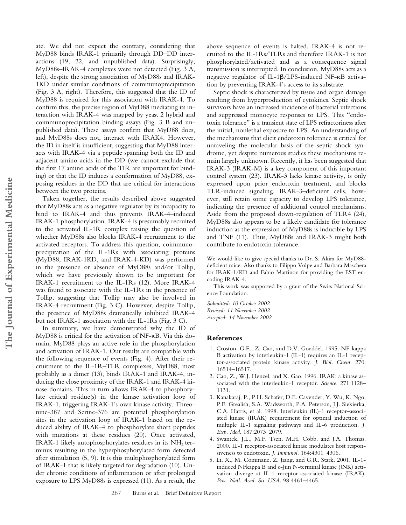ate. We did not expect the contrary, considering that MyD88 binds IRAK-1 primarily through DD–DD interactions (19, 22, and unpublished data). Surprisingly, MyD88s–IRAK-4 complexes were not detected (Fig. 3 A, left), despite the strong association of MyD88s and IRAK-1KD under similar conditions of coimmunoprecipitation (Fig. 3 A, right). Therefore, this suggested that the ID of MyD88 is required for this association with IRAK-4. To confirm this, the precise region of MyD88 mediating its interaction with IRAK-4 was mapped by yeast 2 hybrid and coimmunoprecipitation binding assays (Fig. 3 B and unpublished data). These assays confirm that MyD88 does, and MyD88s does not, interact with IRAK4. However, the ID in itself is insufficient, suggesting that MyD88 interacts with IRAK-4 via a peptide spanning both the ID and adjacent amino acids in the DD (we cannot exclude that the first 17 amino acids of the TIR are important for binding) or that the ID induces a conformation of MyD88, exposing residues in the DD that are critical for interactions between the two proteins.

Taken together, the results described above suggested that MyD88s acts as a negative regulator by its incapacity to bind to IRAK-4 and thus prevents IRAK-4–induced IRAK-1 phosphorylation. IRAK-4 is presumably recruited to the activated IL-1R complex raising the question of whether MyD88s also blocks IRAK-4 recruitment to the activated receptors. To address this question, coimmunoprecipitation of the IL-1Rs with associating proteins (MyD88, IRAK-1KD, and IRAK-4-KD) was performed in the presence or absence of MyD88s and/or Tollip, which we have previously shown to be important for IRAK-1 recruitment to the IL-1Rs (12). More IRAK-4 was found to associate with the IL-1Rs in the presence of Tollip, suggesting that Tollip may also be involved in IRAK-4 recruitment (Fig. 3 C). However, despite Tollip, the presence of MyD88s dramatically inhibited IRAK-4 but not IRAK-1 association with the IL-1Rs (Fig. 3 C).

In summary, we have demonstrated why the ID of MyD88 is critical for the activation of NF-KB. Via this domain, MyD88 plays an active role in the phosphorylation and activation of IRAK-1. Our results are compatible with the following sequence of events (Fig. 4). After their recruitment to the IL-1R–TLR complexes, MyD88, most probably as a dimer (13), binds IRAK-1 and IRAK-4, inducing the close proximity of the IRAK-1 and IRAK-4 kinase domains. This in turn allows IRAK-4 to phosphorylate critical residue(s) in the kinase activation loop of IRAK-1, triggering IRAK-1's own kinase activity. Threonine-387 and Serine-376 are potential phosphorylation sites in the activation loop of IRAK-1 based on the reduced ability of IRAK-4 to phosphorylate short peptides with mutations at these residues (20). Once activated, IRAK-1 likely autophosphorylates residues in its NH<sub>2</sub> terminus resulting in the hyperphosphorylated form detected after stimulation (5, 9). It is this multiphosphorylated form of IRAK-1 that is likely targeted for degradation (10). Under chronic conditions of inflammation or after prolonged exposure to LPS MyD88s is expressed (11). As a result, the

above sequence of events is halted. IRAK-4 is not recruited to the IL-1Rs/TLRs and therefore IRAK-1 is not phosphorylated/activated and as a consequence signal transmission is interrupted. In conclusion, MyD88s acts as a negative regulator of IL-1 $\beta$ /LPS-induced NF-KB activation by preventing IRAK-4's access to its substrate.

Septic shock is characterized by tissue and organ damage resulting from hyperproduction of cytokines. Septic shock survivors have an increased incidence of bacterial infections and suppressed monocyte responses to LPS. This "endotoxin tolerance" is a transient state of LPS refractoriness after the initial, nonlethal exposure to LPS. An understanding of the mechanisms that elicit endotoxin tolerance is critical for unraveling the molecular basis of the septic shock syndrome, yet despite numerous studies these mechanisms remain largely unknown. Recently, it has been suggested that IRAK-3 (IRAK-M) is a key component of this important control system (23). IRAK-3 lacks kinase activity, is only expressed upon prior endotoxin treatment, and blocks TLR-induced signaling. IRAK-3–deficient cells, however, still retain some capacity to develop LPS tolerance, indicating the presence of additional control mechanisms. Aside from the proposed down-regulation of TLR4 (24), MyD88s also appears to be a likely candidate for tolerance induction as the expression of MyD88s is inducible by LPS and TNF (11). Thus, MyD88s and IRAK-3 might both contribute to endotoxin tolerance.

We would like to give special thanks to Dr. S. Akira for MyD88 deficient mice. Also thanks to Filippo Volpe and Barbara Maschera for IRAK-1/KD and Fabio Martinon for providing the EST encoding IRAK-4.

This work was supported by a grant of the Swiss National Science Foundation.

*Submitted: 10 October 2002 Revised: 11 November 2002 Accepted: 14 November 2002*

## **References**

- 1. Croston, G.E., Z. Cao, and D.V. Goeddel. 1995. NF-kappa B activation by interleukin-1 (IL-1) requires an IL-1 receptor-associated protein kinase activity. *J. Biol. Chem.* 270: 16514–16517.
- 2. Cao, Z., W.J. Henzel, and X. Gao. 1996. IRAK: a kinase associated with the interleukin-1 receptor. *Science.* 271:1128– 1131.
- 3. Kanakaraj, P., P.H. Schafer, D.E. Cavender, Y. Wu, K. Ngo, P.F. Grealish, S.A. Wadsworth, P.A. Peterson, J.J. Siekierka, C.A. Harris, et al. 1998. Interleukin (IL)-1 receptor–associated kinase (IRAK) requirement for optimal induction of multiple IL-1 signaling pathways and IL-6 production. *J. Exp. Med.* 187:2073–2079.
- 4. Swantek, J.L., M.F. Tsen, M.H. Cobb, and J.A. Thomas. 2000. IL-1 receptor-associated kinase modulates host responsiveness to endotoxin. *J. Immunol.* 164:4301–4306.
- 5. Li, X., M. Commane, Z. Jiang, and G.R. Stark. 2001. IL-1 induced NFkappa B and c-Jun N-terminal kinase (JNK) activation diverge at IL-1 receptor-associated kinase (IRAK). *Proc. Natl. Acad. Sci. USA.* 98:4461–4465.

267 Burns et al. Brief Definitive Report